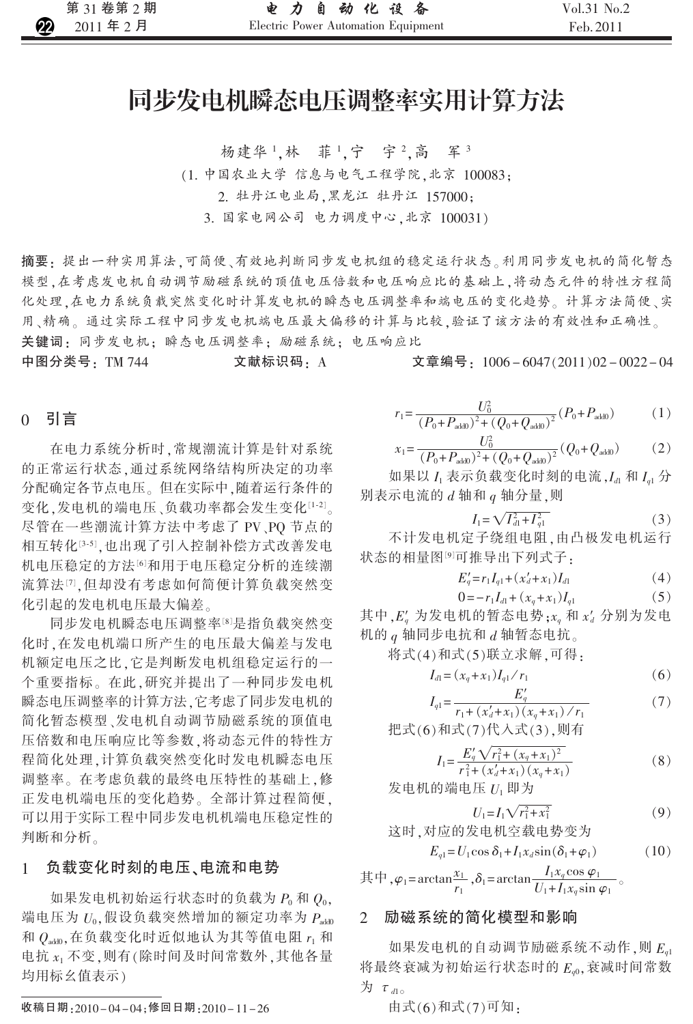# 同步发电机瞬态电压调整率实用计算方法

杨建华1,林 菲1,宁 宇2,高 军3

(1. 中国农业大学 信息与电气工程学院,北京 100083;

2. 牡丹江电业局,黑龙江 牡丹江 157000;

3. 国家电网公司 电力调度中心,北京 100031)

摘要:提出一种实用算法,可简便、有效地判断同步发电机组的稳定运行状态。利用同步发电机的简化暂态 模型,在考虑发电机自动调节励磁系统的顶值电压倍数和电压响应比的基础上,将动态元件的特性方程简 化处理,在电力系统负载突然变化时计算发电机的瞬态电压调整率和端电压的变化趋势。计算方法简便、实 用、精确。通过实际工程中同步发电机端电压最大偏移的计算与比较,验证了该方法的有效性和正确性。 关键词:同步发电机; 瞬态电压调整率; 励磁系统; 电压响应比

中图分类号: TM 744

文献标识码: A

文章编号:1006-6047(2011)02-0022-04

### 0 引言

在电力系统分析时,常规潮流计算是针对系统 的正常运行状态,通过系统网络结构所决定的功率 分配确定各节点电压。但在实际中,随着运行条件的 变化,发电机的端电压、负载功率都会发生变化[1-2]。 尽管在一些潮流计算方法中考虑了 PV、PQ 节点的 相互转化[3-5],也出现了引入控制补偿方式改善发电 机电压稳定的方法的和用于电压稳定分析的连续潮 流算法[7].但却没有考虑如何简便计算负载突然变 化引起的发电机电压最大偏差。

同步发电机瞬态电压调整率[8]是指负载突然变 化时,在发电机端口所产生的电压最大偏差与发电 机额定电压之比,它是判断发电机组稳定运行的一 个重要指标。在此,研究并提出了一种同步发电机 瞬态电压调整率的计算方法,它考虑了同步发电机的 简化暂态模型、发电机自动调节励磁系统的顶值电 压倍数和电压响应比等参数,将动态元件的特性方 程简化处理,计算负载突然变化时发电机瞬态电压 调整率。在考虑负载的最终电压特性的基础上,修 正发电机端电压的变化趋势。全部计算过程简便, 可以用于实际工程中同步发电机机端电压稳定性的 判断和分析。

#### 负载变化时刻的电压、电流和电势 1

如果发电机初始运行状态时的负载为 $P_0$ 和 $Q_0$ , 端电压为 Uo,假设负载突然增加的额定功率为 Pado 和 $Q_{\text{add}}$ , 在负载变化时近似地认为其等值电阻  $r_1$  和 电抗 x1 不变,则有(除时间及时间常数外,其他各量 均用标幺值表示)

$$
r_1 = \frac{U_0^2}{(P_0 + P_{\text{add0}})^2 + (Q_0 + Q_{\text{add0}})^2} (P_0 + P_{\text{add0}})
$$
 (1)

$$
x_1 = \frac{U_0^2}{(P_0 + P_{\text{add}})^2 + (Q_0 + Q_{\text{add}})^2} (Q_0 + Q_{\text{add}})
$$
 (2)

如果以 $I_1$ 表示负载变化时刻的电流, $I_{d1}$ 和 $I_{q1}$ 分 别表示电流的 d 轴和 q 轴分量,则

$$
I_1 = \sqrt{I_{d1}^2 + I_{q1}^2} \tag{3}
$$

不计发电机定子绕组电阻,由凸极发电机运行 状态的相量图<sup>[9]</sup>可推导出下列式子:

$$
E'_{q} = r_1 I_{q1} + (x'_d + x_1) I_{d1}
$$
 (4)

$$
0 = -r_1 I_{d1} + (x_q + x_1)I_{q1}
$$
 (5)

其中, E' 为发电机的暂态电势; x, 和 x' 分别为发电 机的  $q$  轴同步电抗和  $d$  轴暂态电抗。

将式(4)和式(5)联立求解,可得:

$$
I_{d1} = (x_q + x_1)I_{q1} / r_1
$$
\n(6)

$$
I_{q1} = \frac{E_q}{r_1 + (x_d' + x_1)(x_q + x_1) / r_1}
$$
(7)

把式(6)和式(7)代入式(3),则有

$$
I_1 = \frac{E_q' \sqrt{r_1^2 + (x_q + x_1)^2}}{r_1^2 + (x_q' + x_1)(x_q + x_1)}\tag{8}
$$

发电机的端电压 U<sub>1</sub> 即为

$$
U_1 = I_1 \sqrt{r_1^2 + x_1^2}
$$
\n
$$
\dot{\mathbf{X}} \text{h}^{\dagger} \mathbf{X} \text{h} \text{h}^{\dagger} \mathbf{X} \text{h}^{\dagger} \mathbf{X} \text{h}^{\dagger} \text{h}^{\dagger} \text{h}^{\dagger} \text{h}^{\dagger} \text{h}^{\dagger} \text{h}^{\dagger} \text{h}^{\dagger} \text{h}^{\dagger} \text{h}^{\dagger} \text{h}^{\dagger} \text{h}^{\dagger} \text{h}^{\dagger} \text{h}^{\dagger} \text{h}^{\dagger} \text{h}^{\dagger} \text{h}^{\dagger} \text{h}^{\dagger} \text{h}^{\dagger} \text{h}^{\dagger} \text{h}^{\dagger} \text{h}^{\dagger} \text{h}^{\dagger} \text{h}^{\dagger} \text{h}^{\dagger} \text{h}^{\dagger} \text{h}^{\dagger} \text{h}^{\dagger} \text{h}^{\dagger} \text{h}^{\dagger} \text{h}^{\dagger} \text{h}^{\dagger} \text{h}^{\dagger} \text{h}^{\dagger} \text{h}^{\dagger} \text{h}^{\dagger} \text{h}^{\dagger} \text{h}^{\dagger} \text{h}^{\dagger} \text{h}^{\dagger} \text{h}^{\dagger} \text{h}^{\dagger} \text{h}^{\dagger} \text{h}^{\dagger} \text{h}^{\dagger} \text{h}^{\dagger} \text{h}^{\dagger} \text{h}^{\dagger} \text{h}^{\dagger} \text{h}^{\dagger} \text{h}^{\dagger} \text{h}^{\dagger} \text{h}^{\dagger} \text{h}^{\dagger} \text{h}^{\dagger} \text{h}^{\dagger} \text{h}^{\dagger} \text{h}^{\dagger} \text{h}^{\dagger} \text{h}^{\dagger} \text{h}^{\dagger} \text{h}^{\dagger} \text{h}^{\dagger} \text{h}^{\dagger} \text{h}^{\dagger} \text{h}^{\dagger} \text{h}^{\dagger} \text{h}^{\d
$$

$$
E_{q1} = U_1 \cos \delta_1 + I_1 x_d \sin(\delta_1 + \varphi_1)
$$
 (10)

其中,  $\varphi_1$ = arctan $\frac{x_1}{r_1}$ ,  $\delta_1$ = arctan  $\frac{I_1 x_q \cos \varphi_1}{U_1 + I_1 x_q \sin \varphi_1}$ 

#### 励磁系统的简化模型和影响  $\overline{2}$

如果发电机的自动调节励磁系统不动作,则 E. 将最终衰减为初始运行状态时的 E.。,衰减时间常数 为  $\tau_{dlo}$ 

由式(6)和式(7)可知:

收稿日期: 2010-04-04; 修回日期: 2010-11-26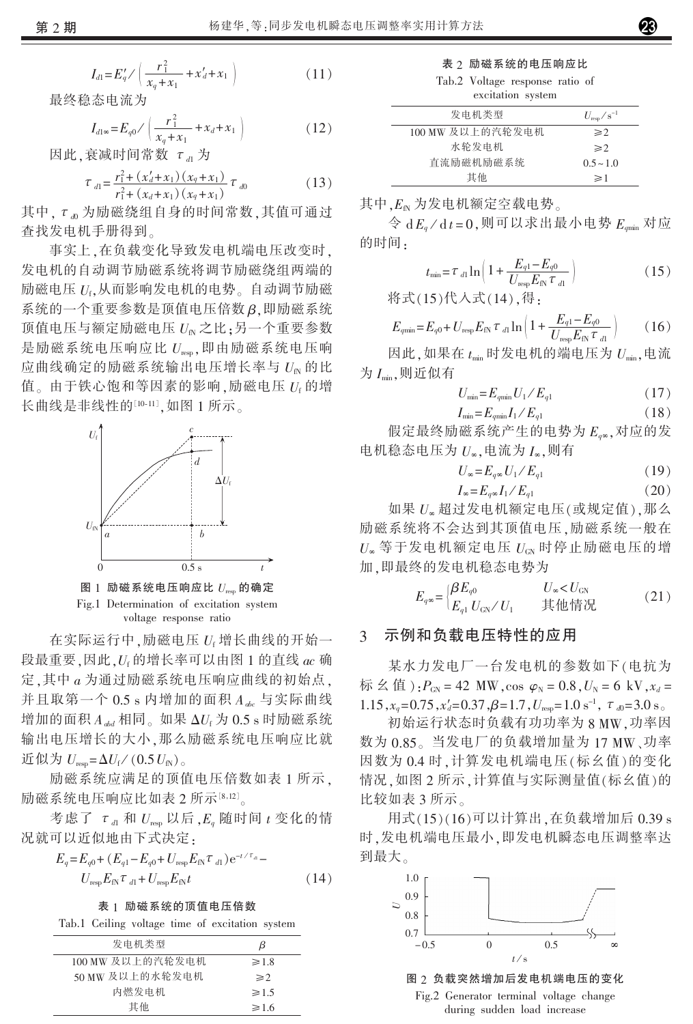$$
I_{d1} = E'_q / \left( \frac{r_1^2}{x_q + x_1} + x'_d + x_1 \right)
$$
 (11)

最终稳态电流为

$$
I_{d1\infty} = E_{q0} / \left( \frac{r_1^2}{x_q + x_1} + x_d + x_1 \right)
$$
 (12)

因此,衰减时间常数 Tal为

$$
\tau_{d1} = \frac{r_1^2 + (x_d' + x_1)(x_q + x_1)}{r_1^2 + (x_d + x_1)(x_q + x_1)} \tau_{d0}
$$
\n(13)

其中,  $\tau_{w}$ 为励磁绕组自身的时间常数, 其值可通过 查找发电机手册得到。

事实上,在负载变化导致发电机端电压改变时, 发电机的自动调节励磁系统将调节励磁绕组两端的 励磁电压 Uf,从而影响发电机的电势。自动调节励磁 系统的一个重要参数是顶值电压倍数β,即励磁系统 顶值电压与额定励磁电压 Ug 之比;另一个重要参数 是励磁系统电压响应比  $U_{\text{resp}}$ ,即由励磁系统电压响 应曲线确定的励磁系统输出电压增长率与 UK 的比 值。由于铁心饱和等因素的影响,励磁电压 Uf的增 长曲线是非线性的[10-11],如图 1 所示。



voltage response ratio

在实际运行中,励磁电压 U<sub>f</sub> 增长曲线的开始一 段最重要,因此, U 的增长率可以由图 1 的直线 ac 确 定,其中 a 为通过励磁系统电压响应曲线的初始点, 并且取第一个  $0.5 s$  内增加的面积  $A_{abc}$  与实际曲线 增加的面积  $A_{odd}$  相同。如果 ΔU<sub>f</sub> 为 0.5 s 时励磁系统 输出电压增长的大小,那么励磁系统电压响应比就 近似为  $U_{\text{reso}} = \Delta U_f / (0.5 U_{\text{fN}})$ 。

励磁系统应满足的顶值电压倍数如表1所示, 励磁系统电压响应比如表 2 所示[8,12]。

考虑了  $\tau$ <sub>dl</sub> 和  $U_{\text{resp}}$  以后,  $E_q$  随时间  $t$  变化的情 况就可以近似地由下式决定:

$$
E_q = E_{q0} + (E_{q1} - E_{q0} + U_{\text{resp}} E_{\text{IN}} \tau_{d1}) e^{-t/\tau_{d1}}
$$
  

$$
U_{\text{resp}} E_{\text{IN}} \tau_{d1} + U_{\text{resp}} E_{\text{IN}} t
$$
 (14)

表 1 励磁系统的顶值电压倍数

|  |  |  |  |  |  | Tab.1 Ceiling voltage time of excitation system |  |
|--|--|--|--|--|--|-------------------------------------------------|--|
|--|--|--|--|--|--|-------------------------------------------------|--|

| 发电机类型            | В          |
|------------------|------------|
| 100 MW 及以上的汽轮发电机 | $\geq 1.8$ |
| 50 MW 及以上的水轮发电机  | $\geq 2$   |
| 内燃发电机            | $\geq 1.5$ |
| 其他               | $\geq 1.6$ |

|  |  | 表 2 励磁系统的电压响应比 |  |
|--|--|----------------|--|
|  |  |                |  |

Tab.2 Voltage response ratio of

| excitation system |                        |
|-------------------|------------------------|
| 发电机类型             | $U_{\rm{resn}}/s^{-1}$ |
| 100 MW 及以上的汽轮发电机  | $\geqslant$ 2          |
| 水轮发电机             | $\geq$ 2               |
| 直流励磁机励磁系统         | $0.5 - 1.0$            |
| 其他                | $\geq$ 1               |

其中,E<sub>n</sub>为发电机额定空载电势。

 $\hat{\varphi}$  d  $E_{a}/$  d  $t=0$ , 则可以求出最小电势  $E_{min}$  对应 的时间.

$$
t_{\min} = \tau_{d1} \ln \left( 1 + \frac{E_{q1} - E_{q0}}{U_{\text{resp}} E_{\text{fN}} \tau_{d1}} \right) \tag{15}
$$

将式(15)代入式(14),得:

$$
E_{qmin} = E_{q0} + U_{\text{resp}} E_{\text{fN}} \tau_{d1} \ln \left( 1 + \frac{E_{q1} - E_{q0}}{U_{\text{resp}} E_{\text{fN}} \tau_{d1}} \right) \tag{16}
$$

因此,如果在 trin 时发电机的端电压为 Unin,电流 为 I min, 则近似有

$$
U_{\min} = E_{q\min} U_1 / E_{q1} \tag{17}
$$

$$
I_{\min} = E_{q\min} I_1 / E_{q1} \tag{18}
$$

假定最终励磁系统产生的电势为 E.s, 对应的发 电机稳态电压为 U<sub>s</sub>,电流为 I<sub>s</sub>,则有

$$
U_{\infty} = E_{q\infty} U_1 / E_{q1} \tag{19}
$$

$$
I_{\infty} = E_{a\infty} I_1 / E_{a1} \tag{20}
$$

如果 U。超过发电机额定电压(或规定值),那么 励磁系统将不会达到其顶值电压,励磁系统一般在  $U_{\infty}$ 等于发电机额定电压 $U_{\text{CN}}$ 时停止励磁电压的增 加,即最终的发电机稳态电势为

$$
E_{q\infty} = \begin{cases} \beta E_{q0} & U_{\infty} < U_{\text{GN}} \\ E_{q1} & U_{\text{GN}} & \text{if } \text{iff } \partial \text{H} \end{cases} \tag{21}
$$

#### 示例和负载电压特性的应用 3

某水力发电厂一台发电机的参数如下(电抗为 标幺值): $P_{GN} = 42$  MW, cos  $\varphi_N = 0.8$ ,  $U_N = 6$  kV,  $x_d =$ 1.15,  $x_a = 0.75$ ,  $x'_a = 0.37$ ,  $\beta = 1.7$ ,  $U_{\text{res}} = 1.0 \text{ s}^{-1}$ ,  $\tau_{\text{d}} = 3.0 \text{ s}^{-1}$ 

初始运行状态时负载有功功率为8MW.功率因 数为 0.85。当发电厂的负载增加量为 17 MW、功率 因数为 0.4 时, 计算发电机端电压(标幺值)的变化 情况,如图2所示,计算值与实际测量值(标幺值)的 比较如表 3 所示。

用式(15)(16)可以计算出, 在负载增加后 0.39 s 时,发电机端电压最小,即发电机瞬态电压调整率达 到最大。



图 2 负载突然增加后发电机端电压的变化 Fig.2 Generator terminal voltage change during sudden load increase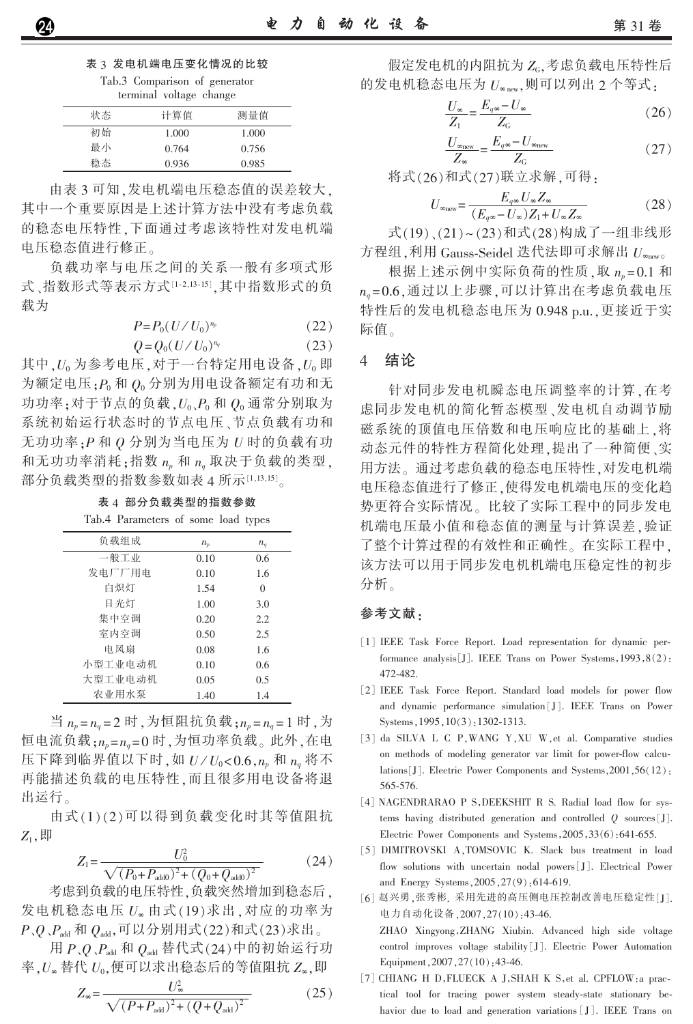表 3 发电机端电压变化情况的比较 Tab.3 Comparison of generator

| terminal voltage change |  |  |
|-------------------------|--|--|

| 状态 | 计算值   | 测量值   |
|----|-------|-------|
| 初始 | 1.000 | 1.000 |
| 最小 | 0.764 | 0.756 |
| 稳态 | 0.936 | 0.985 |

由表3可知,发电机端电压稳态值的误差较大, 其中一个重要原因是上述计算方法中没有考虑负载 的稳态电压特性,下面通过考虑该特性对发电机端 电压稳态值进行修正。

负载功率与电压之间的关系一般有多项式形 式、指数形式等表示方式[1-2,13-15],其中指数形式的负 载为

$$
P = P_0 \left( \frac{U}{U_0} \right)^{n_p} \tag{22}
$$

$$
Q = Q_0 (U/U_0)^{n_q} \tag{23}
$$

其中, U<sub>0</sub> 为参考电压, 对于一台特定用电设备, U<sub>0</sub> 即 为额定电压: P 和 Q 分别为用电设备额定有功和无 功功率;对于节点的负载, $U_0$ , $P_0$ 和 $Q_0$ 通常分别取为 系统初始运行状态时的节点电压、节点负载有功和 无功功率: P和O分别为当电压为 U 时的负载有功 和无功功率消耗;指数 np 和 nq 取决于负载的类型, 部分负载类型的指数参数如表 4 所示[1,13,15]。

| Tab.4 Parameters of some load types |         |                |
|-------------------------------------|---------|----------------|
| 负载组成                                | $n_{p}$ | $n_q$          |
| 一般工业                                | 0.10    | 0.6            |
| 发电厂厂用电                              | 0.10    | 1.6            |
| 白炽灯                                 | 1.54    | $\overline{0}$ |
| 日光灯                                 | 1.00    | 3.0            |
| 集中空调                                | 0.20    | 2.2            |
| 室内空调                                | 0.50    | 2.5            |
| 电风扇                                 | 0.08    | 1.6            |
| 小型工业电动机                             | 0.10    | 0.6            |
| 大型工业电动机                             | 0.05    | 0.5            |
| 农业用水泵                               | 1.40    | 14             |

表 4 部分负载类型的指数参数

当  $n_p = n_q = 2$  时, 为恒阻抗负载;  $n_p = n_q = 1$  时, 为 恒电流负载;np=ng=0时,为恒功率负载。此外,在电 压下降到临界值以下时,如  $U/U_0 < 0.6$ , $n_p$  和  $n_q$  将不 再能描述负载的电压特性,而且很多用电设备将退 出运行。

由式(1)(2)可以得到负载变化时其等值阻抗  $Z_1,$  即

$$
Z_1 = \frac{U_0^2}{\sqrt{(P_0 + P_{\text{add}})^2 + (Q_0 + Q_{\text{add}})^2}}
$$
(24)

考虑到负载的电压特性,负载突然增加到稳态后, 发电机稳态电压 U。由式(19)求出,对应的功率为  $P_{\gamma}Q_{\gamma}P_{\text{add}}$  和  $Q_{\text{add}}$ ,可以分别用式(22)和式(23)求出。

用  $P,Q$ ,  $P_{\text{add}}$  和  $Q_{\text{add}}$  替代式(24)中的初始运行功 率, $U_{\infty}$ 替代 $U_0$ ,便可以求出稳态后的等值阻抗 $Z_{\infty}$ ,即

$$
Z_{\infty} = \frac{U_{\infty}^2}{\sqrt{(P+P_{\text{add}})^2 + (Q+Q_{\text{add}})^2}}
$$
(25)

假定发电机的内阻抗为 ZG,考虑负载电压特性后 的发电机稳态电压为  $U_{\infty}$  new, 则可以列出 2 个等式:

$$
\frac{U_{\infty}}{Z_1} = \frac{E_{q\infty} - U_{\infty}}{Z_{\rm G}}\tag{26}
$$

$$
\frac{U_{\infty_{\text{new}}}}{Z_{\infty}} = \frac{E_{q\infty} - U_{\infty_{\text{new}}}}{Z_{\text{G}}}
$$
(27)

将式(26)和式(27)联立求解,可得:

$$
U_{\infty_{\text{new}}} = \frac{E_{q\infty} U_{\infty} Z_{\infty}}{(E_{q\infty} - U_{\infty}) Z_1 + U_{\infty} Z_{\infty}}
$$
(28)

式(19)、(21)~(23)和式(28)构成了一组非线形 方程组,利用 Gauss-Seidel 迭代法即可求解出  $U_{\infty}$ newo

根据上述示例中实际负荷的性质,取  $n_p = 0.1$ 和 n<sub>a</sub>=0.6, 通过以上步骤, 可以计算出在考虑负载电压 特性后的发电机稳态电压为 0.948 p.u.,更接近于实 际值。

#### 结论  $\overline{4}$

针对同步发电机瞬态电压调整率的计算,在考 虑同步发电机的简化暂态模型、发电机自动调节励 磁系统的顶值电压倍数和电压响应比的基础上,将 动态元件的特性方程简化处理,提出了一种简便、实 用方法。通过考虑负载的稳态电压特性,对发电机端 电压稳态值进行了修正,使得发电机端电压的变化趋 势更符合实际情况。比较了实际工程中的同步发电 机端电压最小值和稳态值的测量与计算误差,验证 了整个计算过程的有效性和正确性。在实际工程中, 该方法可以用于同步发电机机端电压稳定性的初步 分析。

### 参考文献:

- [1] IEEE Task Force Report. Load representation for dynamic performance analysis [J]. IEEE Trans on Power Systems, 1993, 8(2): 472-482.
- [2] IEEE Task Force Report. Standard load models for power flow and dynamic performance simulation [J]. IEEE Trans on Power Systems, 1995, 10(3): 1302-1313.
- [3] da SILVA L C P, WANG Y, XU W, et al. Comparative studies on methods of modeling generator var limit for power-flow calculations[J]. Electric Power Components and Systems, 2001, 56(12): 565-576.
- [4] NAGENDRARAO P S, DEEKSHIT R S. Radial load flow for systems having distributed generation and controlled  $Q$  sources [J]. Electric Power Components and Systems, 2005, 33(6): 641-655.
- [5] DIMITROVSKI A, TOMSOVIC K. Slack bus treatment in load flow solutions with uncertain nodal powers [J]. Electrical Power and Energy Systems, 2005, 27(9): 614-619.
- [6] 赵兴勇, 张秀彬. 采用先进的高压侧电压控制改善电压稳定性[J]. 电力自动化设备, 2007, 27(10): 43-46. ZHAO Xingyong, ZHANG Xiubin. Advanced high side voltage control improves voltage stability [J]. Electric Power Automation Equipment, 2007, 27(10): 43-46.
- [7] CHIANG H D, FLUECK A J, SHAH K S, et al. CPFLOW: a practical tool for tracing power system steady-state stationary behavior due to load and generation variations [J]. IEEE Trans on